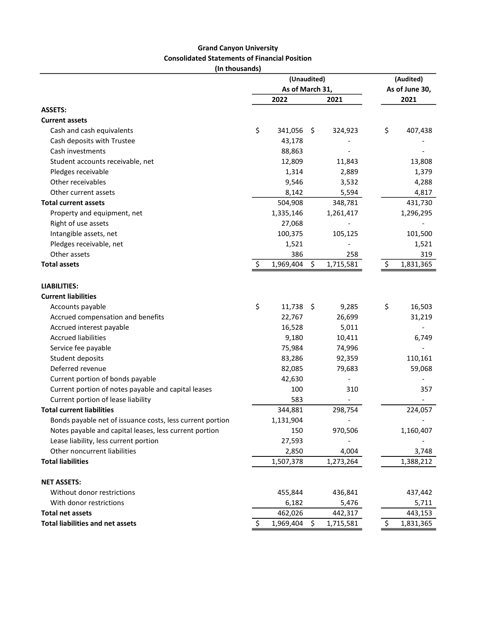## Grand Canyon University Consolidated Statements of Financial Position

(In thousands)

|                                                           |                 | (Unaudited) |     |           |                | (Audited) |  |  |
|-----------------------------------------------------------|-----------------|-------------|-----|-----------|----------------|-----------|--|--|
|                                                           | As of March 31, |             |     |           | As of June 30, |           |  |  |
|                                                           |                 | 2022        |     | 2021      |                | 2021      |  |  |
| <b>ASSETS:</b>                                            |                 |             |     |           |                |           |  |  |
| <b>Current assets</b>                                     |                 |             |     |           |                |           |  |  |
| Cash and cash equivalents                                 | \$              | 341,056     | \$  | 324,923   | \$             | 407,438   |  |  |
| Cash deposits with Trustee                                |                 | 43,178      |     |           |                |           |  |  |
| Cash investments                                          |                 | 88,863      |     |           |                |           |  |  |
| Student accounts receivable, net                          |                 | 12,809      |     | 11,843    |                | 13,808    |  |  |
| Pledges receivable                                        |                 | 1,314       |     | 2,889     |                | 1,379     |  |  |
| Other receivables                                         |                 | 9,546       |     | 3,532     |                | 4,288     |  |  |
| Other current assets                                      |                 | 8,142       |     | 5,594     |                | 4,817     |  |  |
| <b>Total current assets</b>                               |                 | 504,908     |     | 348,781   |                | 431,730   |  |  |
| Property and equipment, net                               |                 | 1,335,146   |     | 1,261,417 |                | 1,296,295 |  |  |
| Right of use assets                                       |                 | 27,068      |     |           |                |           |  |  |
| Intangible assets, net                                    |                 | 100,375     |     | 105,125   |                | 101,500   |  |  |
| Pledges receivable, net                                   |                 | 1,521       |     |           |                | 1,521     |  |  |
| Other assets                                              |                 | 386         |     | 258       |                | 319       |  |  |
| <b>Total assets</b>                                       | \$.             | 1,969,404   | \$  | 1,715,581 | S              | 1,831,365 |  |  |
| <b>LIABILITIES:</b>                                       |                 |             |     |           |                |           |  |  |
| <b>Current liabilities</b>                                |                 |             |     |           |                |           |  |  |
| Accounts payable                                          | \$              | 11,738      | -\$ | 9,285     | \$             | 16,503    |  |  |
| Accrued compensation and benefits                         |                 | 22,767      |     | 26,699    |                | 31,219    |  |  |
| Accrued interest payable                                  |                 | 16,528      |     | 5,011     |                |           |  |  |
| <b>Accrued liabilities</b>                                |                 | 9,180       |     | 10,411    |                | 6,749     |  |  |
| Service fee payable                                       |                 | 75,984      |     | 74,996    |                |           |  |  |
| Student deposits                                          |                 | 83,286      |     | 92,359    |                | 110,161   |  |  |
| Deferred revenue                                          |                 | 82,085      |     | 79,683    |                | 59,068    |  |  |
| Current portion of bonds payable                          |                 | 42,630      |     |           |                |           |  |  |
| Current portion of notes payable and capital leases       |                 | 100         |     | 310       |                | 357       |  |  |
| Current portion of lease liability                        |                 | 583         |     |           |                |           |  |  |
| <b>Total current liabilities</b>                          |                 | 344,881     |     | 298,754   |                | 224,057   |  |  |
| Bonds payable net of issuance costs, less current portion |                 | 1,131,904   |     |           |                |           |  |  |
| Notes payable and capital leases, less current portion    |                 | 150         |     | 970,506   |                | 1,160,407 |  |  |
| Lease liability, less current portion                     |                 | 27,593      |     |           |                |           |  |  |
| Other noncurrent liabilities                              |                 | 2,850       |     | 4,004     |                | 3,748     |  |  |
| <b>Total liabilities</b>                                  |                 | 1,507,378   |     | 1,273,264 |                | 1,388,212 |  |  |
|                                                           |                 |             |     |           |                |           |  |  |
| <b>NET ASSETS:</b>                                        |                 |             |     |           |                |           |  |  |
| Without donor restrictions                                |                 | 455,844     |     | 436,841   |                | 437,442   |  |  |
| With donor restrictions                                   |                 | 6,182       |     | 5,476     |                | 5,711     |  |  |
| <b>Total net assets</b>                                   |                 | 462,026     |     | 442,317   |                | 443,153   |  |  |
| <b>Total liabilities and net assets</b>                   | \$              | 1,969,404   | \$  | 1,715,581 | \$             | 1,831,365 |  |  |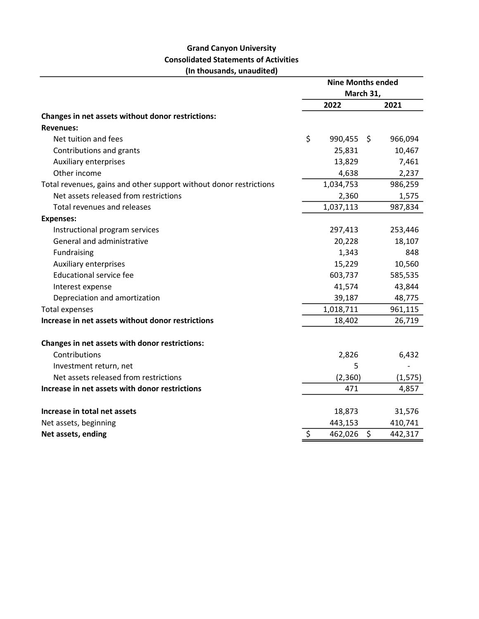## Grand Canyon University Consolidated Statements of Activities (In thousands, unaudited)

|                                                                    | <b>Nine Months ended</b> |           |    |          |
|--------------------------------------------------------------------|--------------------------|-----------|----|----------|
|                                                                    | March 31,                |           |    |          |
|                                                                    |                          | 2022      |    | 2021     |
| Changes in net assets without donor restrictions:                  |                          |           |    |          |
| <b>Revenues:</b>                                                   |                          |           |    |          |
| Net tuition and fees                                               | \$                       | 990,455   | Ŝ. | 966,094  |
| Contributions and grants                                           |                          | 25,831    |    | 10,467   |
| <b>Auxiliary enterprises</b>                                       |                          | 13,829    |    | 7,461    |
| Other income                                                       |                          | 4,638     |    | 2,237    |
| Total revenues, gains and other support without donor restrictions |                          | 1,034,753 |    | 986,259  |
| Net assets released from restrictions                              |                          | 2,360     |    | 1,575    |
| <b>Total revenues and releases</b>                                 |                          | 1,037,113 |    | 987,834  |
| <b>Expenses:</b>                                                   |                          |           |    |          |
| Instructional program services                                     |                          | 297,413   |    | 253,446  |
| General and administrative                                         |                          | 20,228    |    | 18,107   |
| Fundraising                                                        |                          | 1,343     |    | 848      |
| <b>Auxiliary enterprises</b>                                       |                          | 15,229    |    | 10,560   |
| <b>Educational service fee</b>                                     |                          | 603,737   |    | 585,535  |
| Interest expense                                                   |                          | 41,574    |    | 43,844   |
| Depreciation and amortization                                      |                          | 39,187    |    | 48,775   |
| <b>Total expenses</b>                                              |                          | 1,018,711 |    | 961,115  |
| Increase in net assets without donor restrictions                  |                          | 18,402    |    | 26,719   |
| Changes in net assets with donor restrictions:                     |                          |           |    |          |
| Contributions                                                      |                          | 2,826     |    | 6,432    |
| Investment return, net                                             |                          | 5         |    |          |
| Net assets released from restrictions                              |                          | (2,360)   |    | (1, 575) |
| Increase in net assets with donor restrictions                     |                          | 471       |    | 4,857    |
| Increase in total net assets                                       |                          | 18,873    |    | 31,576   |
| Net assets, beginning                                              |                          | 443,153   |    | 410,741  |
| Net assets, ending                                                 | \$                       | 462,026   | \$ | 442,317  |